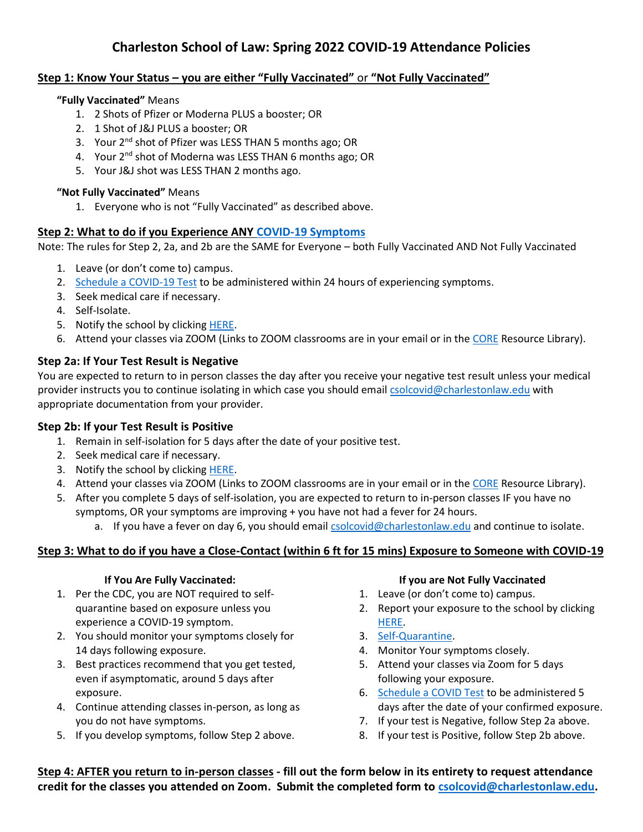# **Charleston School of Law: Spring 2022 COVID-19 Attendance Policies**

# **Step 1: Know Your Status – you are either "Fully Vaccinated"** or **"Not Fully Vaccinated"**

#### **"Fully Vaccinated"** Means

- 1. 2 Shots of Pfizer or Moderna PLUS a booster; OR
- 2. 1 Shot of J&J PLUS a booster; OR
- 3. Your 2<sup>nd</sup> shot of Pfizer was LESS THAN 5 months ago; OR
- 4. Your 2<sup>nd</sup> shot of Moderna was LESS THAN 6 months ago; OR
- 5. Your J&J shot was LESS THAN 2 months ago.

#### **"Not Fully Vaccinated"** Means

1. Everyone who is not "Fully Vaccinated" as described above.

### **Step 2: What to do if you Experience ANY [COVID-19 Symptoms](https://www.cdc.gov/coronavirus/2019-ncov/symptoms-testing/symptoms.html)**

Note: The rules for Step 2, 2a, and 2b are the SAME for Everyone – both Fully Vaccinated AND Not Fully Vaccinated

- 1. Leave (or don't come to) campus.
- 2. [Schedule a COVID-19 Test](https://muschealth.org/patients-visitors/coronavirus-information/covid-19-testing) to be administered within 24 hours of experiencing symptoms.
- 3. Seek medical care if necessary.
- 4. Self-Isolate.
- 5. Notify the school by clicking [HERE.](https://forms.office.com/Pages/ResponsePage.aspx?id=9rmsQOPQI0qfwSPo4awAeG2LVBKXK9xMguZHPAE2Q5hUMDVPTTNKTU1KNE9SQTVEQ1ZBMzE2MlFEWi4u)
- 6. Attend your classes via ZOOM (Links to ZOOM classrooms are in your email or in the [CORE](https://charlestonlaw.12twenty.com/Login) Resource Library).

## **Step 2a: If Your Test Result is Negative**

You are expected to return to in person classes the day after you receive your negative test result unless your medical provider instructs you to continue isolating in which case you should email [csolcovid@charlestonlaw.edu](mailto:csolcovid@charlestonlaw.edu) with appropriate documentation from your provider.

# **Step 2b: If your Test Result is Positive**

- 1. Remain in self-isolation for 5 days after the date of your positive test.
- 2. Seek medical care if necessary.
- 3. Notify the school by clicking [HERE.](https://forms.office.com/Pages/ResponsePage.aspx?id=9rmsQOPQI0qfwSPo4awAeG2LVBKXK9xMguZHPAE2Q5hUNFYxT01OMzZEUzNWTDExRjZPVkxXUE1WTC4u)
- 4. Attend your classes via ZOOM (Links to ZOOM classrooms are in your email or in the [CORE](https://charlestonlaw.12twenty.com/Login) Resource Library).
- 5. After you complete 5 days of self-isolation, you are expected to return to in-person classes IF you have no symptoms, OR your symptoms are improving + you have not had a fever for 24 hours.
	- a. If you have a fever on day 6, you should email [csolcovid@charlestonlaw.edu](mailto:csolcovid@charlestonlaw.edu) and continue to isolate.

# **Step 3: What to do if you have a Close-Contact (within 6 ft for 15 mins) Exposure to Someone with COVID-19**

### **If You Are Fully Vaccinated:**

- 1. Per the CDC, you are NOT required to selfquarantine based on exposure unless you experience a COVID-19 symptom.
- 2. You should monitor your symptoms closely for 14 days following exposure.
- 3. Best practices recommend that you get tested, even if asymptomatic, around 5 days after exposure.
- 4. Continue attending classes in-person, as long as you do not have symptoms.
- 5. If you develop symptoms, follow Step 2 above.

### **If you are Not Fully Vaccinated**

- 1. Leave (or don't come to) campus.
- 2. Report your exposure to the school by clicking [HERE.](https://forms.office.com/Pages/ResponsePage.aspx?id=9rmsQOPQI0qfwSPo4awAeG2LVBKXK9xMguZHPAE2Q5hUMlk5SDg4RzNGMU82STI4RFpBRDIxTlpMWi4u)
- 3. [Self-Quarantine.](https://www.cdc.gov/coronavirus/2019-ncov/your-health/quarantine-isolation.html?CDC_AA_refVal=https%3A%2F%2Fwww.cdc.gov%2Fcoronavirus%2F2019-ncov%2Fif-you-are-sick%2Fquarantine.html)
- 4. Monitor Your symptoms closely.
- 5. Attend your classes via Zoom for 5 days following your exposure.
- 6. [Schedule a COVID Test](https://muschealth.org/patients-visitors/coronavirus-information/covid-19-testing) to be administered 5 days after the date of your confirmed exposure.
- 7. If your test is Negative, follow Step 2a above.
- 8. If your test is Positive, follow Step 2b above.

**Step 4: AFTER you return to in-person classes - fill out the form below in its entirety to request attendance credit for the classes you attended on Zoom. Submit the completed form to [csolcovid@charlestonlaw.edu.](mailto:csolcovid@charlestonlaw.edu)**